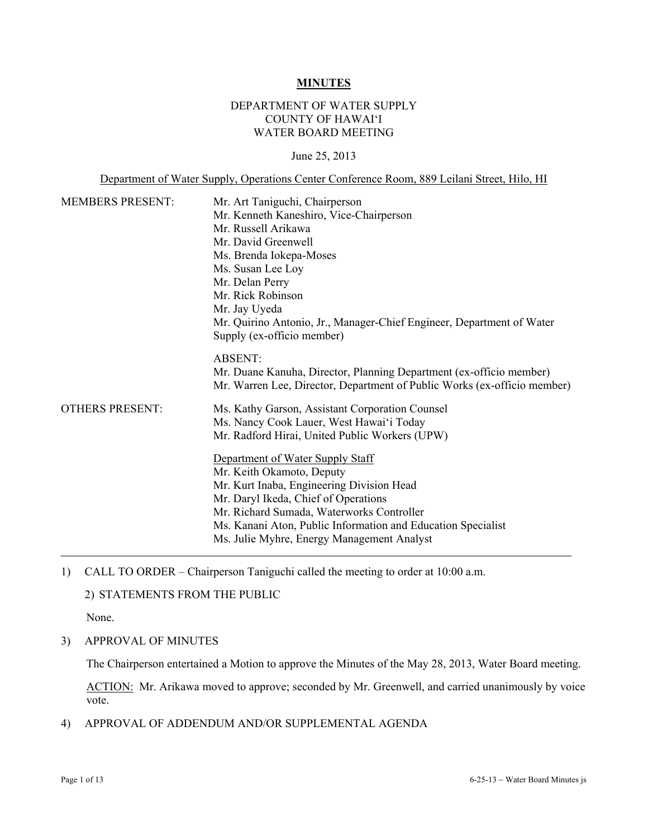#### **MINUTES**

# DEPARTMENT OF WATER SUPPLY COUNTY OF HAWAI'I WATER BOARD MEETING

#### June 25, 2013

Department of Water Supply, Operations Center Conference Room, 889 Leilani Street, Hilo, HI

| <b>MEMBERS PRESENT:</b> | Mr. Art Taniguchi, Chairperson<br>Mr. Kenneth Kaneshiro, Vice-Chairperson<br>Mr. Russell Arikawa<br>Mr. David Greenwell<br>Ms. Brenda Iokepa-Moses<br>Ms. Susan Lee Loy<br>Mr. Delan Perry<br>Mr. Rick Robinson<br>Mr. Jay Uyeda<br>Mr. Quirino Antonio, Jr., Manager-Chief Engineer, Department of Water<br>Supply (ex-officio member)                                                                                                                        |
|-------------------------|----------------------------------------------------------------------------------------------------------------------------------------------------------------------------------------------------------------------------------------------------------------------------------------------------------------------------------------------------------------------------------------------------------------------------------------------------------------|
|                         | <b>ABSENT:</b><br>Mr. Duane Kanuha, Director, Planning Department (ex-officio member)<br>Mr. Warren Lee, Director, Department of Public Works (ex-officio member)                                                                                                                                                                                                                                                                                              |
| <b>OTHERS PRESENT:</b>  | Ms. Kathy Garson, Assistant Corporation Counsel<br>Ms. Nancy Cook Lauer, West Hawai'i Today<br>Mr. Radford Hirai, United Public Workers (UPW)<br>Department of Water Supply Staff<br>Mr. Keith Okamoto, Deputy<br>Mr. Kurt Inaba, Engineering Division Head<br>Mr. Daryl Ikeda, Chief of Operations<br>Mr. Richard Sumada, Waterworks Controller<br>Ms. Kanani Aton, Public Information and Education Specialist<br>Ms. Julie Myhre, Energy Management Analyst |

1) CALL TO ORDER – Chairperson Taniguchi called the meeting to order at 10:00 a.m.

# 2) STATEMENTS FROM THE PUBLIC

None.

3) APPROVAL OF MINUTES

The Chairperson entertained a Motion to approve the Minutes of the May 28, 2013, Water Board meeting.

ACTION: Mr. Arikawa moved to approve; seconded by Mr. Greenwell, and carried unanimously by voice vote.

4) APPROVAL OF ADDENDUM AND/OR SUPPLEMENTAL AGENDA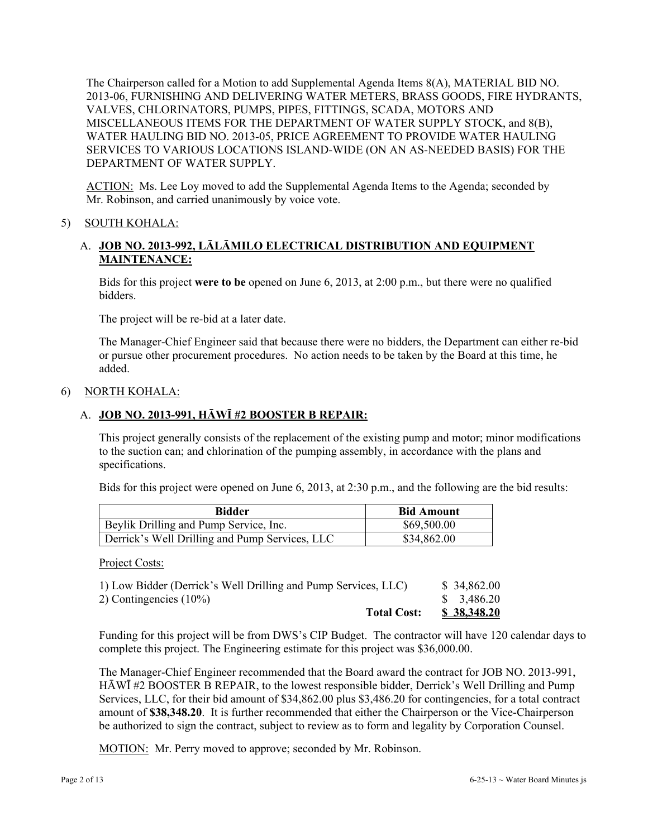The Chairperson called for a Motion to add Supplemental Agenda Items 8(A), MATERIAL BID NO. 2013-06, FURNISHING AND DELIVERING WATER METERS, BRASS GOODS, FIRE HYDRANTS, VALVES, CHLORINATORS, PUMPS, PIPES, FITTINGS, SCADA, MOTORS AND MISCELLANEOUS ITEMS FOR THE DEPARTMENT OF WATER SUPPLY STOCK, and 8(B), WATER HAULING BID NO. 2013-05, PRICE AGREEMENT TO PROVIDE WATER HAULING SERVICES TO VARIOUS LOCATIONS ISLAND-WIDE (ON AN AS-NEEDED BASIS) FOR THE DEPARTMENT OF WATER SUPPLY.

ACTION: Ms. Lee Loy moved to add the Supplemental Agenda Items to the Agenda; seconded by Mr. Robinson, and carried unanimously by voice vote.

# 5) SOUTH KOHALA:

# A. **JOB NO. 2013-992, LĀLĀMILO ELECTRICAL DISTRIBUTION AND EQUIPMENT MAINTENANCE:**

Bids for this project **were to be** opened on June 6, 2013, at 2:00 p.m., but there were no qualified bidders.

The project will be re-bid at a later date.

The Manager-Chief Engineer said that because there were no bidders, the Department can either re-bid or pursue other procurement procedures. No action needs to be taken by the Board at this time, he added.

### 6) NORTH KOHALA:

# A. **JOB NO. 2013-991, HĀWĪ #2 BOOSTER B REPAIR:**

This project generally consists of the replacement of the existing pump and motor; minor modifications to the suction can; and chlorination of the pumping assembly, in accordance with the plans and specifications.

Bids for this project were opened on June 6, 2013, at 2:30 p.m., and the following are the bid results:

| Bidder                                         | <b>Bid Amount</b> |
|------------------------------------------------|-------------------|
| Beylik Drilling and Pump Service, Inc.         | \$69,500.00       |
| Derrick's Well Drilling and Pump Services, LLC | \$34,862.00       |

Project Costs:

| <b>Total Cost:</b>                                             | <u>\$38,348.20</u>     |
|----------------------------------------------------------------|------------------------|
| 2) Contingencies $(10\%)$                                      | $\frac{$}{5}$ 3,486.20 |
| 1) Low Bidder (Derrick's Well Drilling and Pump Services, LLC) | \$34,862.00            |

Funding for this project will be from DWS's CIP Budget. The contractor will have 120 calendar days to complete this project. The Engineering estimate for this project was \$36,000.00.

The Manager-Chief Engineer recommended that the Board award the contract for JOB NO. 2013-991, HĀWĪ #2 BOOSTER B REPAIR, to the lowest responsible bidder, Derrick's Well Drilling and Pump Services, LLC, for their bid amount of \$34,862.00 plus \$3,486.20 for contingencies, for a total contract amount of **\$38,348.20**. It is further recommended that either the Chairperson or the Vice-Chairperson be authorized to sign the contract, subject to review as to form and legality by Corporation Counsel.

MOTION: Mr. Perry moved to approve; seconded by Mr. Robinson.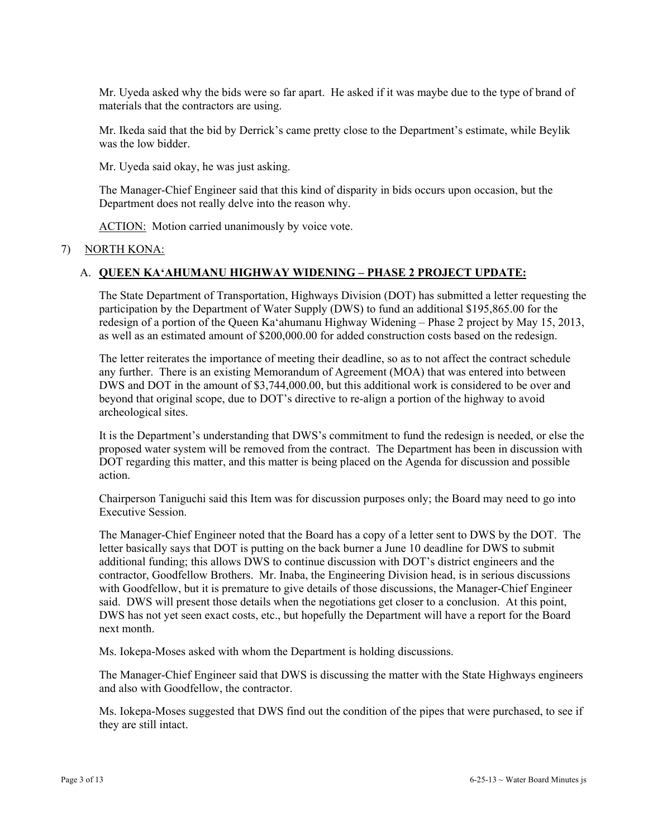Mr. Uyeda asked why the bids were so far apart. He asked if it was maybe due to the type of brand of materials that the contractors are using.

Mr. Ikeda said that the bid by Derrick's came pretty close to the Department's estimate, while Beylik was the low bidder.

Mr. Uyeda said okay, he was just asking.

The Manager-Chief Engineer said that this kind of disparity in bids occurs upon occasion, but the Department does not really delve into the reason why.

ACTION: Motion carried unanimously by voice vote.

# 7) NORTH KONA:

# A. **QUEEN KA'AHUMANU HIGHWAY WIDENING – PHASE 2 PROJECT UPDATE:**

The State Department of Transportation, Highways Division (DOT) has submitted a letter requesting the participation by the Department of Water Supply (DWS) to fund an additional \$195,865.00 for the redesign of a portion of the Queen Ka'ahumanu Highway Widening – Phase 2 project by May 15, 2013, as well as an estimated amount of \$200,000.00 for added construction costs based on the redesign.

The letter reiterates the importance of meeting their deadline, so as to not affect the contract schedule any further. There is an existing Memorandum of Agreement (MOA) that was entered into between DWS and DOT in the amount of \$3,744,000.00, but this additional work is considered to be over and beyond that original scope, due to DOT's directive to re-align a portion of the highway to avoid archeological sites.

It is the Department's understanding that DWS's commitment to fund the redesign is needed, or else the proposed water system will be removed from the contract. The Department has been in discussion with DOT regarding this matter, and this matter is being placed on the Agenda for discussion and possible action.

Chairperson Taniguchi said this Item was for discussion purposes only; the Board may need to go into Executive Session.

The Manager-Chief Engineer noted that the Board has a copy of a letter sent to DWS by the DOT. The letter basically says that DOT is putting on the back burner a June 10 deadline for DWS to submit additional funding; this allows DWS to continue discussion with DOT's district engineers and the contractor, Goodfellow Brothers. Mr. Inaba, the Engineering Division head, is in serious discussions with Goodfellow, but it is premature to give details of those discussions, the Manager-Chief Engineer said. DWS will present those details when the negotiations get closer to a conclusion. At this point, DWS has not yet seen exact costs, etc., but hopefully the Department will have a report for the Board next month.

Ms. Iokepa-Moses asked with whom the Department is holding discussions.

The Manager-Chief Engineer said that DWS is discussing the matter with the State Highways engineers and also with Goodfellow, the contractor.

Ms. Iokepa-Moses suggested that DWS find out the condition of the pipes that were purchased, to see if they are still intact.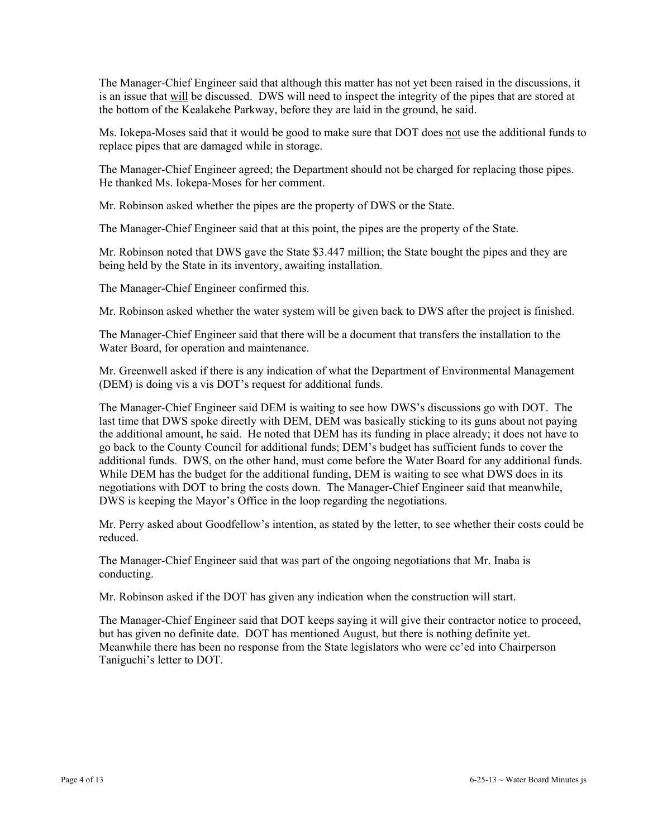The Manager-Chief Engineer said that although this matter has not yet been raised in the discussions, it is an issue that will be discussed. DWS will need to inspect the integrity of the pipes that are stored at the bottom of the Kealakehe Parkway, before they are laid in the ground, he said.

Ms. Iokepa-Moses said that it would be good to make sure that DOT does not use the additional funds to replace pipes that are damaged while in storage.

The Manager-Chief Engineer agreed; the Department should not be charged for replacing those pipes. He thanked Ms. Iokepa-Moses for her comment.

Mr. Robinson asked whether the pipes are the property of DWS or the State.

The Manager-Chief Engineer said that at this point, the pipes are the property of the State.

Mr. Robinson noted that DWS gave the State \$3.447 million; the State bought the pipes and they are being held by the State in its inventory, awaiting installation.

The Manager-Chief Engineer confirmed this.

Mr. Robinson asked whether the water system will be given back to DWS after the project is finished.

The Manager-Chief Engineer said that there will be a document that transfers the installation to the Water Board, for operation and maintenance.

Mr. Greenwell asked if there is any indication of what the Department of Environmental Management (DEM) is doing vis a vis DOT's request for additional funds.

The Manager-Chief Engineer said DEM is waiting to see how DWS's discussions go with DOT. The last time that DWS spoke directly with DEM, DEM was basically sticking to its guns about not paying the additional amount, he said. He noted that DEM has its funding in place already; it does not have to go back to the County Council for additional funds; DEM's budget has sufficient funds to cover the additional funds. DWS, on the other hand, must come before the Water Board for any additional funds. While DEM has the budget for the additional funding, DEM is waiting to see what DWS does in its negotiations with DOT to bring the costs down. The Manager-Chief Engineer said that meanwhile, DWS is keeping the Mayor's Office in the loop regarding the negotiations.

Mr. Perry asked about Goodfellow's intention, as stated by the letter, to see whether their costs could be reduced.

The Manager-Chief Engineer said that was part of the ongoing negotiations that Mr. Inaba is conducting.

Mr. Robinson asked if the DOT has given any indication when the construction will start.

The Manager-Chief Engineer said that DOT keeps saying it will give their contractor notice to proceed, but has given no definite date. DOT has mentioned August, but there is nothing definite yet. Meanwhile there has been no response from the State legislators who were cc'ed into Chairperson Taniguchi's letter to DOT.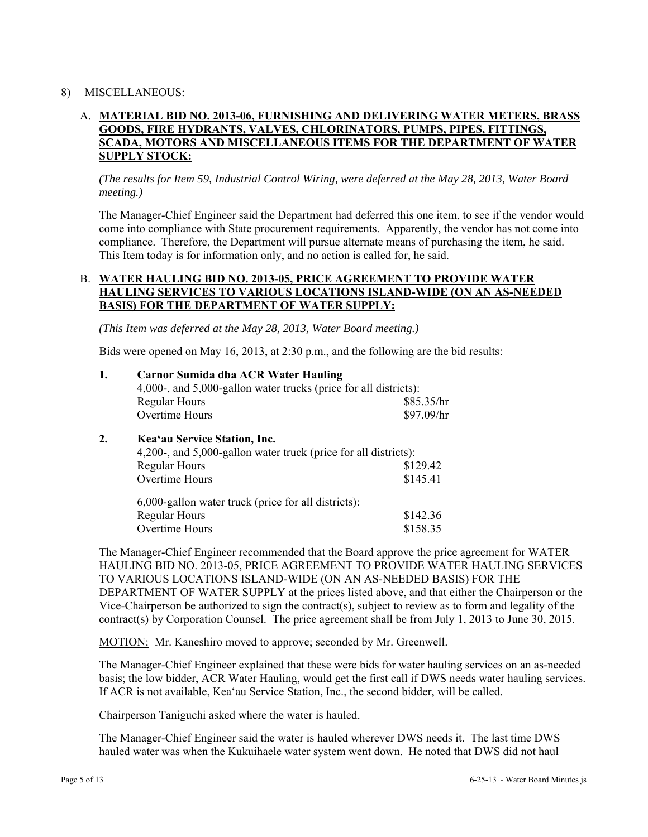# 8) MISCELLANEOUS:

# A. **MATERIAL BID NO. 2013-06, FURNISHING AND DELIVERING WATER METERS, BRASS GOODS, FIRE HYDRANTS, VALVES, CHLORINATORS, PUMPS, PIPES, FITTINGS, SCADA, MOTORS AND MISCELLANEOUS ITEMS FOR THE DEPARTMENT OF WATER SUPPLY STOCK:**

*(The results for Item 59, Industrial Control Wiring, were deferred at the May 28, 2013, Water Board meeting.)* 

The Manager-Chief Engineer said the Department had deferred this one item, to see if the vendor would come into compliance with State procurement requirements. Apparently, the vendor has not come into compliance. Therefore, the Department will pursue alternate means of purchasing the item, he said. This Item today is for information only, and no action is called for, he said.

# B. **WATER HAULING BID NO. 2013-05, PRICE AGREEMENT TO PROVIDE WATER HAULING SERVICES TO VARIOUS LOCATIONS ISLAND-WIDE (ON AN AS-NEEDED BASIS) FOR THE DEPARTMENT OF WATER SUPPLY:**

*(This Item was deferred at the May 28, 2013, Water Board meeting.)* 

Bids were opened on May 16, 2013, at 2:30 p.m., and the following are the bid results:

| 1. | <b>Carnor Sumida dba ACR Water Hauling</b><br>4,000-, and 5,000-gallon water trucks (price for all districts): |            |  |  |  |
|----|----------------------------------------------------------------------------------------------------------------|------------|--|--|--|
|    | <b>Regular Hours</b>                                                                                           | \$85.35/hr |  |  |  |
|    | Overtime Hours                                                                                                 | \$97.09/hr |  |  |  |
| 2. | Kea'au Service Station, Inc.                                                                                   |            |  |  |  |
|    | 4,200-, and 5,000-gallon water truck (price for all districts):                                                |            |  |  |  |
|    | <b>Regular Hours</b>                                                                                           | \$129.42   |  |  |  |
|    | Overtime Hours                                                                                                 | \$145.41   |  |  |  |
|    | 6,000-gallon water truck (price for all districts):                                                            |            |  |  |  |
|    | <b>Regular Hours</b>                                                                                           | \$142.36   |  |  |  |

Overtime Hours \$158.35

The Manager-Chief Engineer recommended that the Board approve the price agreement for WATER HAULING BID NO. 2013-05, PRICE AGREEMENT TO PROVIDE WATER HAULING SERVICES TO VARIOUS LOCATIONS ISLAND-WIDE (ON AN AS-NEEDED BASIS) FOR THE DEPARTMENT OF WATER SUPPLY at the prices listed above, and that either the Chairperson or the Vice-Chairperson be authorized to sign the contract(s), subject to review as to form and legality of the contract(s) by Corporation Counsel. The price agreement shall be from July 1, 2013 to June 30, 2015.

MOTION: Mr. Kaneshiro moved to approve; seconded by Mr. Greenwell.

The Manager-Chief Engineer explained that these were bids for water hauling services on an as-needed basis; the low bidder, ACR Water Hauling, would get the first call if DWS needs water hauling services. If ACR is not available, Kea'au Service Station, Inc., the second bidder, will be called.

Chairperson Taniguchi asked where the water is hauled.

The Manager-Chief Engineer said the water is hauled wherever DWS needs it. The last time DWS hauled water was when the Kukuihaele water system went down. He noted that DWS did not haul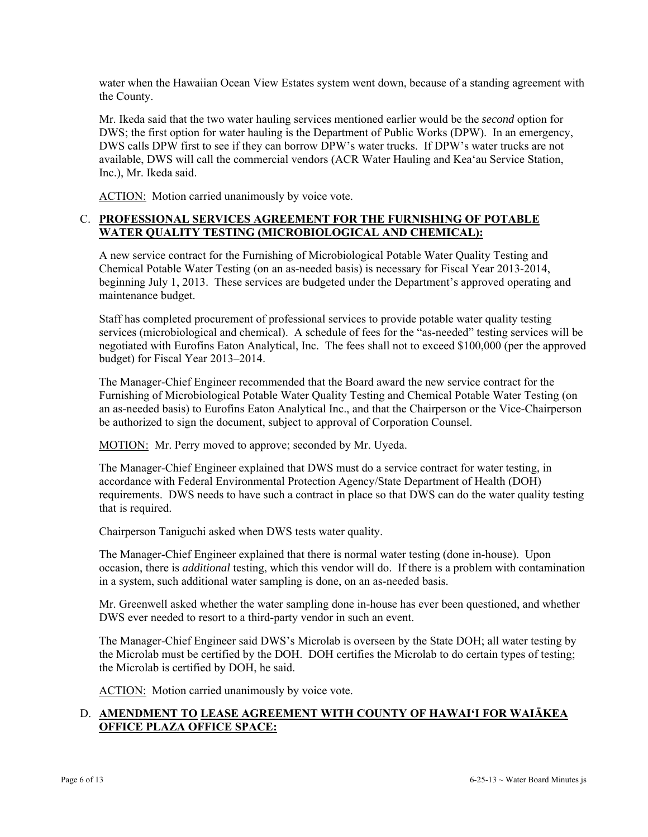water when the Hawaiian Ocean View Estates system went down, because of a standing agreement with the County.

Mr. Ikeda said that the two water hauling services mentioned earlier would be the *second* option for DWS; the first option for water hauling is the Department of Public Works (DPW). In an emergency, DWS calls DPW first to see if they can borrow DPW's water trucks. If DPW's water trucks are not available, DWS will call the commercial vendors (ACR Water Hauling and Kea'au Service Station, Inc.), Mr. Ikeda said.

ACTION: Motion carried unanimously by voice vote.

# C. **PROFESSIONAL SERVICES AGREEMENT FOR THE FURNISHING OF POTABLE WATER QUALITY TESTING (MICROBIOLOGICAL AND CHEMICAL):**

A new service contract for the Furnishing of Microbiological Potable Water Quality Testing and Chemical Potable Water Testing (on an as-needed basis) is necessary for Fiscal Year 2013-2014, beginning July 1, 2013. These services are budgeted under the Department's approved operating and maintenance budget.

Staff has completed procurement of professional services to provide potable water quality testing services (microbiological and chemical). A schedule of fees for the "as-needed" testing services will be negotiated with Eurofins Eaton Analytical, Inc. The fees shall not to exceed \$100,000 (per the approved budget) for Fiscal Year 2013–2014.

The Manager-Chief Engineer recommended that the Board award the new service contract for the Furnishing of Microbiological Potable Water Quality Testing and Chemical Potable Water Testing (on an as-needed basis) to Eurofins Eaton Analytical Inc., and that the Chairperson or the Vice-Chairperson be authorized to sign the document, subject to approval of Corporation Counsel.

MOTION: Mr. Perry moved to approve; seconded by Mr. Uyeda.

The Manager-Chief Engineer explained that DWS must do a service contract for water testing, in accordance with Federal Environmental Protection Agency/State Department of Health (DOH) requirements. DWS needs to have such a contract in place so that DWS can do the water quality testing that is required.

Chairperson Taniguchi asked when DWS tests water quality.

The Manager-Chief Engineer explained that there is normal water testing (done in-house). Upon occasion, there is *additional* testing, which this vendor will do. If there is a problem with contamination in a system, such additional water sampling is done, on an as-needed basis.

Mr. Greenwell asked whether the water sampling done in-house has ever been questioned, and whether DWS ever needed to resort to a third-party vendor in such an event.

The Manager-Chief Engineer said DWS's Microlab is overseen by the State DOH; all water testing by the Microlab must be certified by the DOH. DOH certifies the Microlab to do certain types of testing; the Microlab is certified by DOH, he said.

ACTION: Motion carried unanimously by voice vote.

# D. **AMENDMENT TO LEASE AGREEMENT WITH COUNTY OF HAWAI'I FOR WAIĀKEA OFFICE PLAZA OFFICE SPACE:**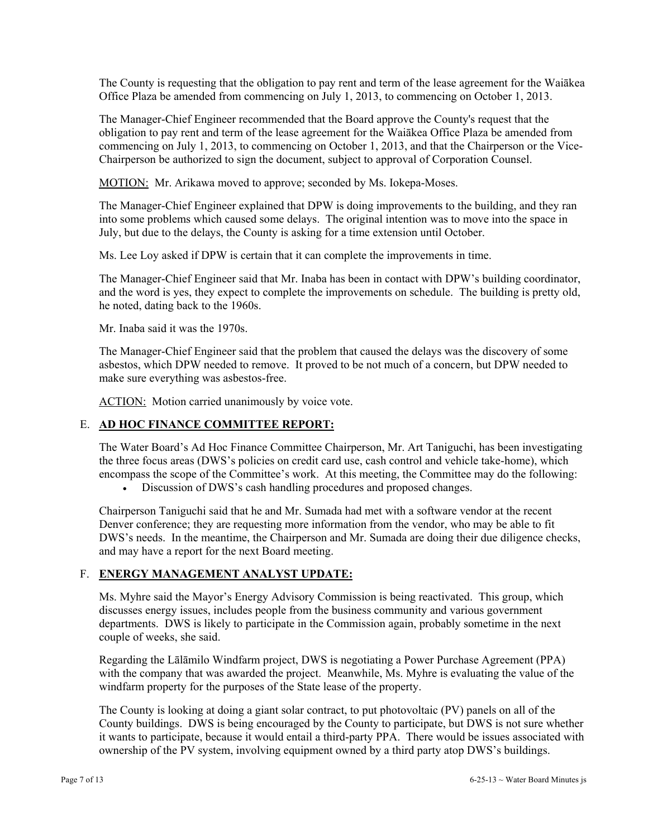The County is requesting that the obligation to pay rent and term of the lease agreement for the Waiākea Office Plaza be amended from commencing on July 1, 2013, to commencing on October 1, 2013.

The Manager-Chief Engineer recommended that the Board approve the County's request that the obligation to pay rent and term of the lease agreement for the Waiākea Office Plaza be amended from commencing on July 1, 2013, to commencing on October 1, 2013, and that the Chairperson or the Vice-Chairperson be authorized to sign the document, subject to approval of Corporation Counsel.

MOTION: Mr. Arikawa moved to approve; seconded by Ms. Iokepa-Moses.

The Manager-Chief Engineer explained that DPW is doing improvements to the building, and they ran into some problems which caused some delays. The original intention was to move into the space in July, but due to the delays, the County is asking for a time extension until October.

Ms. Lee Loy asked if DPW is certain that it can complete the improvements in time.

The Manager-Chief Engineer said that Mr. Inaba has been in contact with DPW's building coordinator, and the word is yes, they expect to complete the improvements on schedule. The building is pretty old, he noted, dating back to the 1960s.

Mr. Inaba said it was the 1970s.

The Manager-Chief Engineer said that the problem that caused the delays was the discovery of some asbestos, which DPW needed to remove. It proved to be not much of a concern, but DPW needed to make sure everything was asbestos-free.

ACTION: Motion carried unanimously by voice vote.

# E. **AD HOC FINANCE COMMITTEE REPORT:**

The Water Board's Ad Hoc Finance Committee Chairperson, Mr. Art Taniguchi, has been investigating the three focus areas (DWS's policies on credit card use, cash control and vehicle take-home), which encompass the scope of the Committee's work. At this meeting, the Committee may do the following:

Discussion of DWS's cash handling procedures and proposed changes.

Chairperson Taniguchi said that he and Mr. Sumada had met with a software vendor at the recent Denver conference; they are requesting more information from the vendor, who may be able to fit DWS's needs. In the meantime, the Chairperson and Mr. Sumada are doing their due diligence checks, and may have a report for the next Board meeting.

#### F. **ENERGY MANAGEMENT ANALYST UPDATE:**

Ms. Myhre said the Mayor's Energy Advisory Commission is being reactivated. This group, which discusses energy issues, includes people from the business community and various government departments. DWS is likely to participate in the Commission again, probably sometime in the next couple of weeks, she said.

Regarding the Lālāmilo Windfarm project, DWS is negotiating a Power Purchase Agreement (PPA) with the company that was awarded the project. Meanwhile, Ms. Myhre is evaluating the value of the windfarm property for the purposes of the State lease of the property.

The County is looking at doing a giant solar contract, to put photovoltaic (PV) panels on all of the County buildings. DWS is being encouraged by the County to participate, but DWS is not sure whether it wants to participate, because it would entail a third-party PPA. There would be issues associated with ownership of the PV system, involving equipment owned by a third party atop DWS's buildings.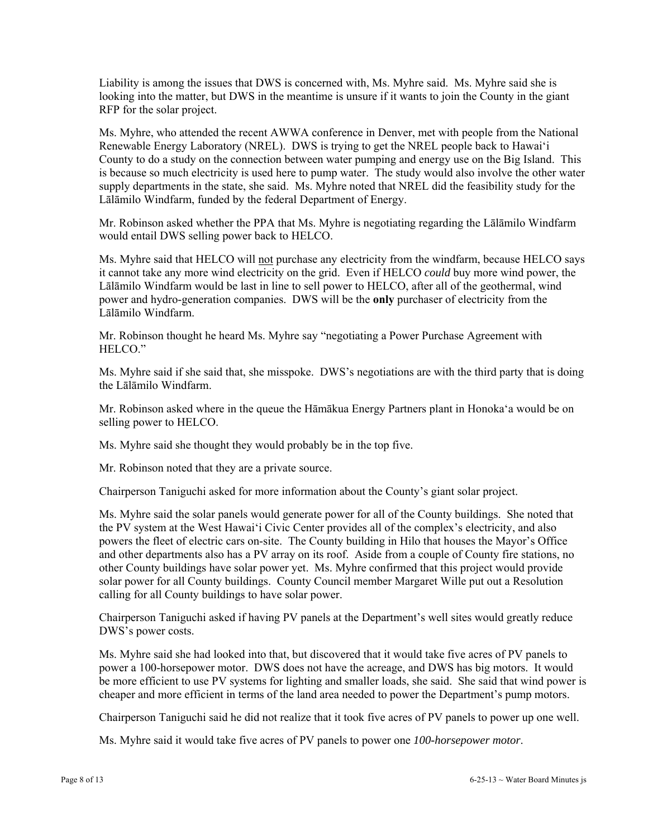Liability is among the issues that DWS is concerned with, Ms. Myhre said. Ms. Myhre said she is looking into the matter, but DWS in the meantime is unsure if it wants to join the County in the giant RFP for the solar project.

Ms. Myhre, who attended the recent AWWA conference in Denver, met with people from the National Renewable Energy Laboratory (NREL). DWS is trying to get the NREL people back to Hawai'i County to do a study on the connection between water pumping and energy use on the Big Island. This is because so much electricity is used here to pump water. The study would also involve the other water supply departments in the state, she said. Ms. Myhre noted that NREL did the feasibility study for the Lālāmilo Windfarm, funded by the federal Department of Energy.

Mr. Robinson asked whether the PPA that Ms. Myhre is negotiating regarding the Lālāmilo Windfarm would entail DWS selling power back to HELCO.

Ms. Myhre said that HELCO will not purchase any electricity from the windfarm, because HELCO says it cannot take any more wind electricity on the grid. Even if HELCO *could* buy more wind power, the Lālāmilo Windfarm would be last in line to sell power to HELCO, after all of the geothermal, wind power and hydro-generation companies. DWS will be the **only** purchaser of electricity from the Lālāmilo Windfarm.

Mr. Robinson thought he heard Ms. Myhre say "negotiating a Power Purchase Agreement with HELCO."

Ms. Myhre said if she said that, she misspoke. DWS's negotiations are with the third party that is doing the Lālāmilo Windfarm.

Mr. Robinson asked where in the queue the Hāmākua Energy Partners plant in Honoka'a would be on selling power to HELCO.

Ms. Myhre said she thought they would probably be in the top five.

Mr. Robinson noted that they are a private source.

Chairperson Taniguchi asked for more information about the County's giant solar project.

Ms. Myhre said the solar panels would generate power for all of the County buildings. She noted that the PV system at the West Hawai'i Civic Center provides all of the complex's electricity, and also powers the fleet of electric cars on-site. The County building in Hilo that houses the Mayor's Office and other departments also has a PV array on its roof. Aside from a couple of County fire stations, no other County buildings have solar power yet. Ms. Myhre confirmed that this project would provide solar power for all County buildings. County Council member Margaret Wille put out a Resolution calling for all County buildings to have solar power.

Chairperson Taniguchi asked if having PV panels at the Department's well sites would greatly reduce DWS's power costs.

Ms. Myhre said she had looked into that, but discovered that it would take five acres of PV panels to power a 100-horsepower motor. DWS does not have the acreage, and DWS has big motors. It would be more efficient to use PV systems for lighting and smaller loads, she said. She said that wind power is cheaper and more efficient in terms of the land area needed to power the Department's pump motors.

Chairperson Taniguchi said he did not realize that it took five acres of PV panels to power up one well.

Ms. Myhre said it would take five acres of PV panels to power one *100-horsepower motor*.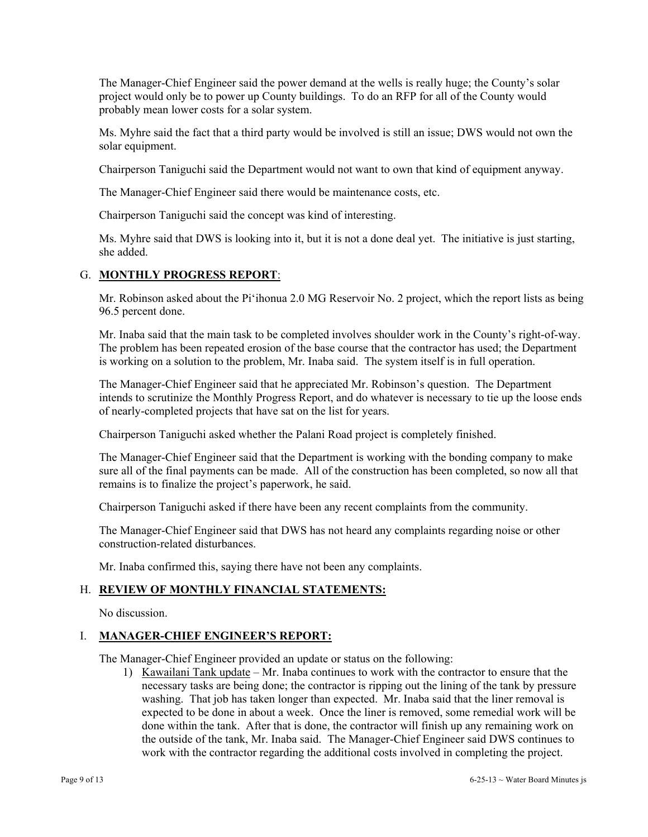The Manager-Chief Engineer said the power demand at the wells is really huge; the County's solar project would only be to power up County buildings. To do an RFP for all of the County would probably mean lower costs for a solar system.

Ms. Myhre said the fact that a third party would be involved is still an issue; DWS would not own the solar equipment.

Chairperson Taniguchi said the Department would not want to own that kind of equipment anyway.

The Manager-Chief Engineer said there would be maintenance costs, etc.

Chairperson Taniguchi said the concept was kind of interesting.

Ms. Myhre said that DWS is looking into it, but it is not a done deal yet. The initiative is just starting, she added.

# G. **MONTHLY PROGRESS REPORT**:

Mr. Robinson asked about the Pi'ihonua 2.0 MG Reservoir No. 2 project, which the report lists as being 96.5 percent done.

Mr. Inaba said that the main task to be completed involves shoulder work in the County's right-of-way. The problem has been repeated erosion of the base course that the contractor has used; the Department is working on a solution to the problem, Mr. Inaba said. The system itself is in full operation.

The Manager-Chief Engineer said that he appreciated Mr. Robinson's question. The Department intends to scrutinize the Monthly Progress Report, and do whatever is necessary to tie up the loose ends of nearly-completed projects that have sat on the list for years.

Chairperson Taniguchi asked whether the Palani Road project is completely finished.

The Manager-Chief Engineer said that the Department is working with the bonding company to make sure all of the final payments can be made. All of the construction has been completed, so now all that remains is to finalize the project's paperwork, he said.

Chairperson Taniguchi asked if there have been any recent complaints from the community.

The Manager-Chief Engineer said that DWS has not heard any complaints regarding noise or other construction-related disturbances.

Mr. Inaba confirmed this, saying there have not been any complaints.

# H. **REVIEW OF MONTHLY FINANCIAL STATEMENTS:**

No discussion.

# I. **MANAGER-CHIEF ENGINEER'S REPORT:**

The Manager-Chief Engineer provided an update or status on the following:

1) Kawailani Tank update – Mr. Inaba continues to work with the contractor to ensure that the necessary tasks are being done; the contractor is ripping out the lining of the tank by pressure washing. That job has taken longer than expected. Mr. Inaba said that the liner removal is expected to be done in about a week. Once the liner is removed, some remedial work will be done within the tank. After that is done, the contractor will finish up any remaining work on the outside of the tank, Mr. Inaba said. The Manager-Chief Engineer said DWS continues to work with the contractor regarding the additional costs involved in completing the project.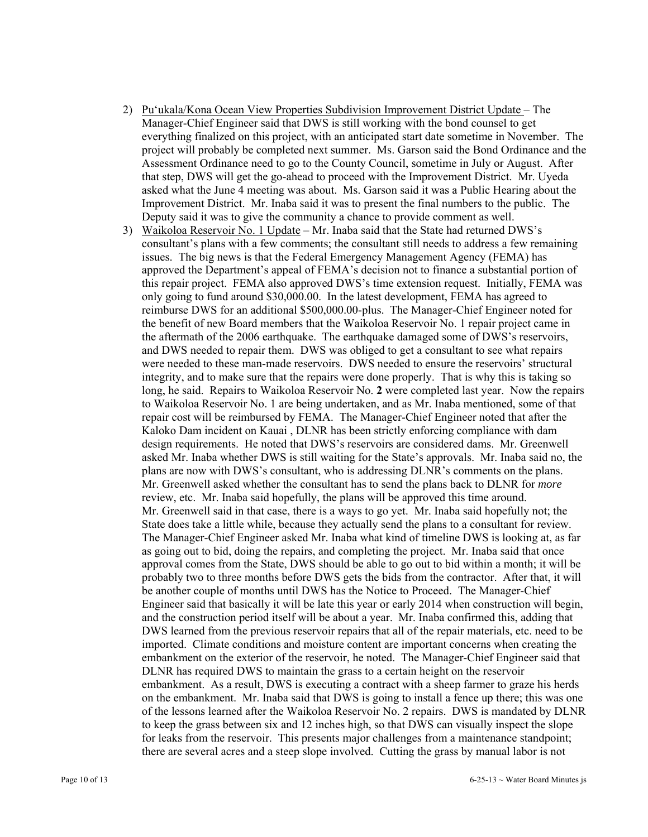- 2) Pu'ukala/Kona Ocean View Properties Subdivision Improvement District Update The Manager-Chief Engineer said that DWS is still working with the bond counsel to get everything finalized on this project, with an anticipated start date sometime in November. The project will probably be completed next summer. Ms. Garson said the Bond Ordinance and the Assessment Ordinance need to go to the County Council, sometime in July or August. After that step, DWS will get the go-ahead to proceed with the Improvement District. Mr. Uyeda asked what the June 4 meeting was about. Ms. Garson said it was a Public Hearing about the Improvement District. Mr. Inaba said it was to present the final numbers to the public. The Deputy said it was to give the community a chance to provide comment as well.
- 3) Waikoloa Reservoir No. 1 Update Mr. Inaba said that the State had returned DWS's consultant's plans with a few comments; the consultant still needs to address a few remaining issues. The big news is that the Federal Emergency Management Agency (FEMA) has approved the Department's appeal of FEMA's decision not to finance a substantial portion of this repair project. FEMA also approved DWS's time extension request. Initially, FEMA was only going to fund around \$30,000.00. In the latest development, FEMA has agreed to reimburse DWS for an additional \$500,000.00-plus. The Manager-Chief Engineer noted for the benefit of new Board members that the Waikoloa Reservoir No. 1 repair project came in the aftermath of the 2006 earthquake. The earthquake damaged some of DWS's reservoirs, and DWS needed to repair them. DWS was obliged to get a consultant to see what repairs were needed to these man-made reservoirs. DWS needed to ensure the reservoirs' structural integrity, and to make sure that the repairs were done properly. That is why this is taking so long, he said. Repairs to Waikoloa Reservoir No. **2** were completed last year. Now the repairs to Waikoloa Reservoir No. 1 are being undertaken, and as Mr. Inaba mentioned, some of that repair cost will be reimbursed by FEMA. The Manager-Chief Engineer noted that after the Kaloko Dam incident on Kauai , DLNR has been strictly enforcing compliance with dam design requirements. He noted that DWS's reservoirs are considered dams. Mr. Greenwell asked Mr. Inaba whether DWS is still waiting for the State's approvals. Mr. Inaba said no, the plans are now with DWS's consultant, who is addressing DLNR's comments on the plans. Mr. Greenwell asked whether the consultant has to send the plans back to DLNR for *more* review, etc. Mr. Inaba said hopefully, the plans will be approved this time around. Mr. Greenwell said in that case, there is a ways to go yet. Mr. Inaba said hopefully not; the State does take a little while, because they actually send the plans to a consultant for review. The Manager-Chief Engineer asked Mr. Inaba what kind of timeline DWS is looking at, as far as going out to bid, doing the repairs, and completing the project. Mr. Inaba said that once approval comes from the State, DWS should be able to go out to bid within a month; it will be probably two to three months before DWS gets the bids from the contractor. After that, it will be another couple of months until DWS has the Notice to Proceed. The Manager-Chief Engineer said that basically it will be late this year or early 2014 when construction will begin, and the construction period itself will be about a year. Mr. Inaba confirmed this, adding that DWS learned from the previous reservoir repairs that all of the repair materials, etc. need to be imported. Climate conditions and moisture content are important concerns when creating the embankment on the exterior of the reservoir, he noted. The Manager-Chief Engineer said that DLNR has required DWS to maintain the grass to a certain height on the reservoir embankment. As a result, DWS is executing a contract with a sheep farmer to graze his herds on the embankment. Mr. Inaba said that DWS is going to install a fence up there; this was one of the lessons learned after the Waikoloa Reservoir No. 2 repairs. DWS is mandated by DLNR to keep the grass between six and 12 inches high, so that DWS can visually inspect the slope for leaks from the reservoir. This presents major challenges from a maintenance standpoint; there are several acres and a steep slope involved. Cutting the grass by manual labor is not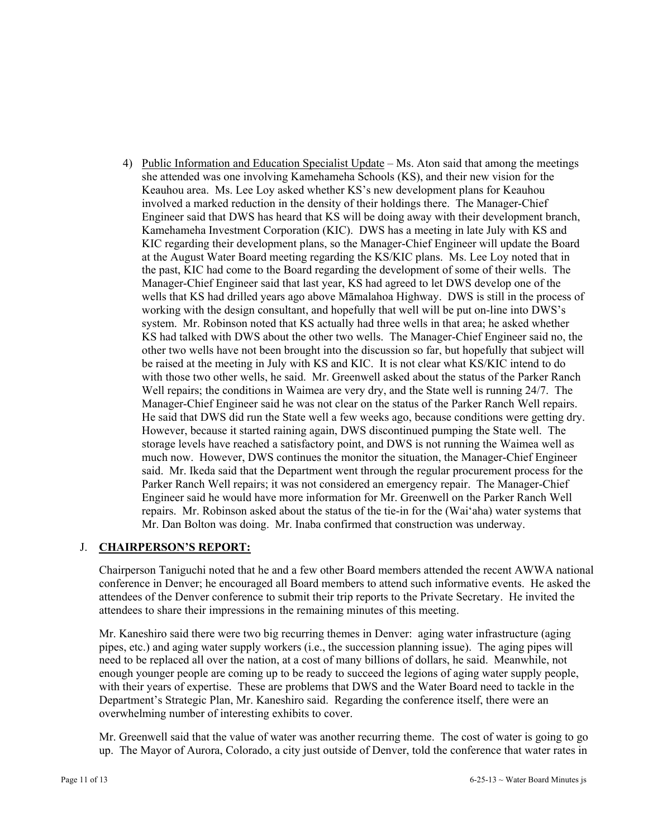4) Public Information and Education Specialist Update – Ms. Aton said that among the meetings she attended was one involving Kamehameha Schools (KS), and their new vision for the Keauhou area. Ms. Lee Loy asked whether KS's new development plans for Keauhou involved a marked reduction in the density of their holdings there. The Manager-Chief Engineer said that DWS has heard that KS will be doing away with their development branch, Kamehameha Investment Corporation (KIC). DWS has a meeting in late July with KS and KIC regarding their development plans, so the Manager-Chief Engineer will update the Board at the August Water Board meeting regarding the KS/KIC plans. Ms. Lee Loy noted that in the past, KIC had come to the Board regarding the development of some of their wells. The Manager-Chief Engineer said that last year, KS had agreed to let DWS develop one of the wells that KS had drilled years ago above Māmalahoa Highway. DWS is still in the process of working with the design consultant, and hopefully that well will be put on-line into DWS's system. Mr. Robinson noted that KS actually had three wells in that area; he asked whether KS had talked with DWS about the other two wells. The Manager-Chief Engineer said no, the other two wells have not been brought into the discussion so far, but hopefully that subject will be raised at the meeting in July with KS and KIC. It is not clear what KS/KIC intend to do with those two other wells, he said. Mr. Greenwell asked about the status of the Parker Ranch Well repairs; the conditions in Waimea are very dry, and the State well is running 24/7. The Manager-Chief Engineer said he was not clear on the status of the Parker Ranch Well repairs. He said that DWS did run the State well a few weeks ago, because conditions were getting dry. However, because it started raining again, DWS discontinued pumping the State well. The storage levels have reached a satisfactory point, and DWS is not running the Waimea well as much now. However, DWS continues the monitor the situation, the Manager-Chief Engineer said. Mr. Ikeda said that the Department went through the regular procurement process for the Parker Ranch Well repairs; it was not considered an emergency repair. The Manager-Chief Engineer said he would have more information for Mr. Greenwell on the Parker Ranch Well repairs. Mr. Robinson asked about the status of the tie-in for the (Wai'aha) water systems that Mr. Dan Bolton was doing. Mr. Inaba confirmed that construction was underway.

# J. **CHAIRPERSON'S REPORT:**

Chairperson Taniguchi noted that he and a few other Board members attended the recent AWWA national conference in Denver; he encouraged all Board members to attend such informative events. He asked the attendees of the Denver conference to submit their trip reports to the Private Secretary. He invited the attendees to share their impressions in the remaining minutes of this meeting.

Mr. Kaneshiro said there were two big recurring themes in Denver: aging water infrastructure (aging pipes, etc.) and aging water supply workers (i.e., the succession planning issue). The aging pipes will need to be replaced all over the nation, at a cost of many billions of dollars, he said. Meanwhile, not enough younger people are coming up to be ready to succeed the legions of aging water supply people, with their years of expertise. These are problems that DWS and the Water Board need to tackle in the Department's Strategic Plan, Mr. Kaneshiro said. Regarding the conference itself, there were an overwhelming number of interesting exhibits to cover.

Mr. Greenwell said that the value of water was another recurring theme. The cost of water is going to go up. The Mayor of Aurora, Colorado, a city just outside of Denver, told the conference that water rates in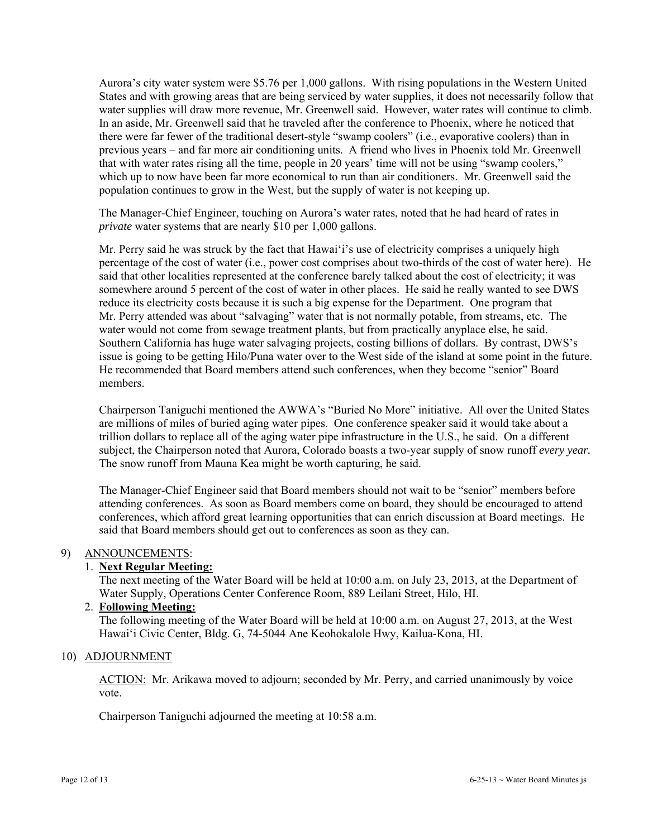Aurora's city water system were \$5.76 per 1,000 gallons. With rising populations in the Western United States and with growing areas that are being serviced by water supplies, it does not necessarily follow that water supplies will draw more revenue, Mr. Greenwell said. However, water rates will continue to climb. In an aside, Mr. Greenwell said that he traveled after the conference to Phoenix, where he noticed that there were far fewer of the traditional desert-style "swamp coolers" (i.e., evaporative coolers) than in previous years – and far more air conditioning units. A friend who lives in Phoenix told Mr. Greenwell that with water rates rising all the time, people in 20 years' time will not be using "swamp coolers," which up to now have been far more economical to run than air conditioners. Mr. Greenwell said the population continues to grow in the West, but the supply of water is not keeping up.

The Manager-Chief Engineer, touching on Aurora's water rates, noted that he had heard of rates in *private* water systems that are nearly \$10 per 1,000 gallons.

Mr. Perry said he was struck by the fact that Hawai'i's use of electricity comprises a uniquely high percentage of the cost of water (i.e., power cost comprises about two-thirds of the cost of water here). He said that other localities represented at the conference barely talked about the cost of electricity; it was somewhere around 5 percent of the cost of water in other places. He said he really wanted to see DWS reduce its electricity costs because it is such a big expense for the Department. One program that Mr. Perry attended was about "salvaging" water that is not normally potable, from streams, etc. The water would not come from sewage treatment plants, but from practically anyplace else, he said. Southern California has huge water salvaging projects, costing billions of dollars. By contrast, DWS's issue is going to be getting Hilo/Puna water over to the West side of the island at some point in the future. He recommended that Board members attend such conferences, when they become "senior" Board members.

Chairperson Taniguchi mentioned the AWWA's "Buried No More" initiative. All over the United States are millions of miles of buried aging water pipes. One conference speaker said it would take about a trillion dollars to replace all of the aging water pipe infrastructure in the U.S., he said. On a different subject, the Chairperson noted that Aurora, Colorado boasts a two-year supply of snow runoff *every year.*  The snow runoff from Mauna Kea might be worth capturing, he said.

The Manager-Chief Engineer said that Board members should not wait to be "senior" members before attending conferences. As soon as Board members come on board, they should be encouraged to attend conferences, which afford great learning opportunities that can enrich discussion at Board meetings. He said that Board members should get out to conferences as soon as they can.

# 9) ANNOUNCEMENTS:

# 1. **Next Regular Meeting:**

The next meeting of the Water Board will be held at 10:00 a.m. on July 23, 2013, at the Department of Water Supply, Operations Center Conference Room, 889 Leilani Street, Hilo, HI.

# 2. **Following Meeting:**

The following meeting of the Water Board will be held at 10:00 a.m. on August 27, 2013, at the West Hawai'i Civic Center, Bldg. G, 74-5044 Ane Keohokalole Hwy, Kailua-Kona, HI.

#### 10) ADJOURNMENT

ACTION: Mr. Arikawa moved to adjourn; seconded by Mr. Perry, and carried unanimously by voice vote.

Chairperson Taniguchi adjourned the meeting at 10:58 a.m.